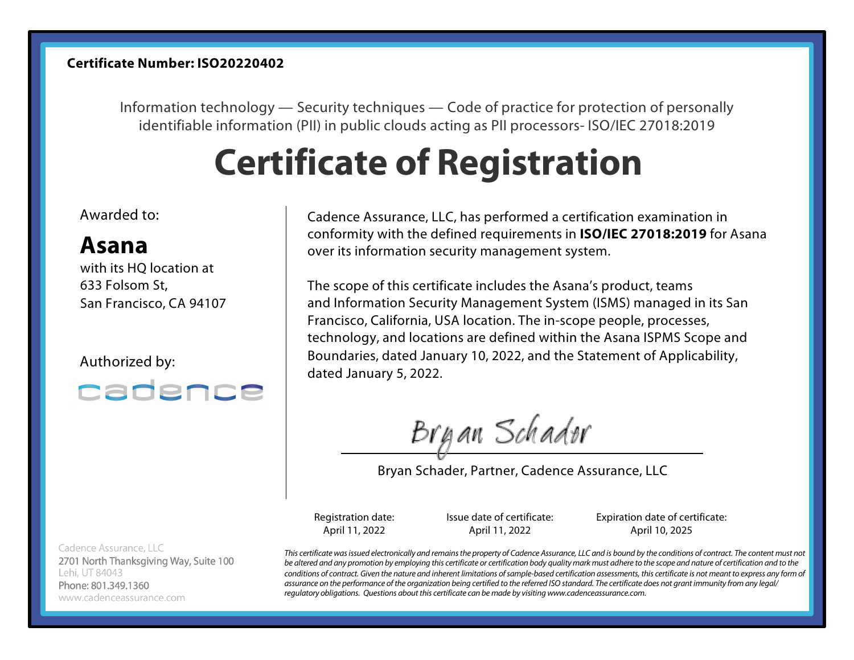## **Certificate Number: ISO20220402**

Information technology — Security techniques — Code of practice for protection of personally identifiable information (PII) in public clouds acting as PII processors- ISO/IEC 27018:2019

# **Certificate of Registration**

#### Awarded to:

## **Asana**

with its HQ location at 633 Folsom St, San Francisco, CA 94107

Authorized by:



Cadence Assurance, LLC 2701 North Thanksgiving Way, Suite 100 Lehi, UT 84043 Phone: 801.349.1360 www.cadenceassurance.com

Cadence Assurance, LLC, has performed a certification examination in conformity with the defined requirements in **ISO/IEC 27018:2019** for Asana over its information security management system.

The scope of this certificate includes the Asana's product, teams and Information Security Management System (ISMS) managed in its San Francisco, California, USA location. The in-scope people, processes, technology, and locations are defined within the Asana ISPMS Scope and Boundaries, dated January 10, 2022, and the Statement of Applicability, dated January 5, 2022.

Bryan Schader

Bryan Schader, Partner, Cadence Assurance, LLC

Registration date: April 11, 2022

Issue date of certificate: April 11, 2022

Expiration date of certificate: April 10, 2025

*This certificate was issued electronically and remains the property of Cadence Assurance, LLC and is bound by the conditions of contract. The content must not be altered and any promotion by employing this certificate or certification body quality mark must adhere to the scope and nature of certification and to the conditions of contract. Given the nature and inherent limitations of sample-based certification assessments, this certificate is not meant to express any form of assurance on the performance of the organization being certified to the referred ISO standard. The certificate does not grant immunity from any legal/ regulatory obligations. Questions about this certificate can be made by visiting www.cadenceassurance.com.*